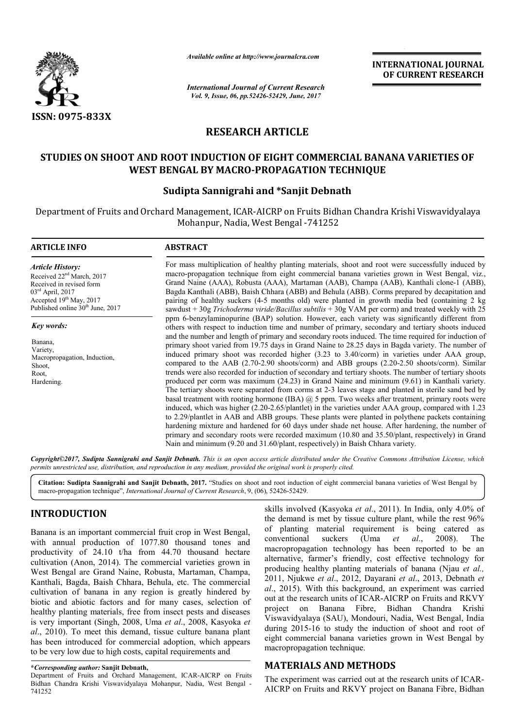

*Available online at http://www.journalcra.com*

*International Journal of Current Research Vol. 9, Issue, 06, pp.52426-52429, June, 2017*

**INTERNATIONAL JOURNAL OF CURRENT RESEARCH** 

# **RESEARCH ARTICLE**

# **STUDIES ON SHOOT AND ROOT INDUCTION OF EIGHT COMMERCIAL BANANA VARIETIES OF WEST BENGAL BY MACRO-PROPAGATION TECHNIQUE**

#### **Sudipta Sannigrahi and \*Sanjit Debnath**

Department of Fruits and Orchard Management, ICAR-AICRP on Fruits Bidhan Chandra Krishi Viswavidyalaya Mohanpur, Nadia, West Bengal -741252

#### **ARTICLE INFO ABSTRACT**

*Article History:* Received 22<sup>nd</sup> March, 2017 Received in revised form 03rd April, 2017 Accepted 19th May, 2017 Published online 30<sup>th</sup> June, 2017

*Key words:*

Banana, Variety, Macropropagation, Induction, Shoot, Root, Hardening.

For mass multiplication of healthy planting materials, shoot and root were successfully induced by macro-propagation technique from eight commercial banana varieties grown in West Bengal, viz., Grand Naine (AAA), Robusta (AAA), Martaman (AAB), Champa (AAB), Kanthali clone-1 (ABB), Bagda Kanthali (ABB), Baish Chhara (ABB) and Behula (ABB). Corms prepared by decapitation and pairing of healthy suckers (4-5 months old) were planted in growth media bed (containing 2 kg sawdust + 30g *Trichoderma viride/Bacillus subtilis* + 30g VAM per corm) and treated weekly with 25 ppm 6-benzylaminopurine (BAP) solution. However, each variety was significantly different from others with respect to induction time and number of primary, secondary and tertiary shoots induced and the number and length of primary and secondary roots induced. The time required for induction of primary shoot varied from 19.75 days in Grand Naine to 28.25 days in Bagda variety. The number of induced primary shoot was recorded higher (3.23 to 3.40/corm) in varieties under AAA group, compared to the AAB (2.70-2.90 shoots/corm) and ABB groups (2.20-2.50 shoots/corm). Similar trends were also recorded for induction of secondary and tertiary shoots. The number of tertiary shoots produced per corm was maximum (24.23) in Grand Naine and minimum (9.61) in Kanthali variety. The tertiary shoots were separated from corms at 2-3 leaves stage and planted in sterile sand bed by basal treatment with rooting hormone (IBA) @ 5 ppm. Two weeks after treatment, primary roots were induced, which was higher (2.20-2.65/plantlet) in the varieties under AAA group, compared with 1.23 to 2.29/plantlet in AAB and ABB groups. These plants were planted in polythene packets containing hardening mixture and hardened for 60 days under shade net house. After hardening, the number of primary and secondary roots were recorded maximum (10.80 and 35.50/plant, respectively) in Grand Nain and minimum (9.20 and 31.60/plant, respectively) in Baish Chhara variety.

*Copyright©2017, Sudipta Sannigrahi and Sanjit Debnath. This is an open access article distributed under the Creative Commons Attribution License, which permits unrestricted use, distribution, and reproduction in any medium, provided the original work is properly cited.*

**Citation: Sudipta Sannigrahi and Sanjit Debnath, 2017.** "Studies on shoot and root induction of eight commercial banana varieties of West Bengal by macro-propagation technique", *International Journal of Current Research*, 9, (06), 52426-52429.

## **INTRODUCTION**

Banana is an important commercial fruit crop in West Bengal, with annual production of 1077.80 thousand tones and productivity of 24.10 t/ha from 44.70 thousand hectare cultivation (Anon, 2014). The commercial varieties grown in West Bengal are Grand Naine, Robusta, Martaman, Champa, Kanthali, Bagda, Baish Chhara, Behula, etc. The commercial cultivation of banana in any region is greatly hindered by biotic and abiotic factors and for many cases, selection of healthy planting materials, free from insect pests and diseases is very important (Singh, 2008, Uma *et al*., 2008, Kasyoka *et al*., 2010). To meet this demand, tissue culture banana plant has been introduced for commercial adoption, which appears to be very low due to high costs, capital requirements and

skills involved (Kasyoka *et al*., 2011). In India, only 4.0% of the demand is met by tissue culture plant, while the rest 96% of planting material requirement is being catered as conventional suckers (Uma *et al*., 2008). The macropropagation technology has been reported to be an alternative, farmer's friendly, cost effective technology for producing healthy planting materials of banana (Njau *et al.,*  2011, Njukwe *et al*., 2012, Dayarani *et al*., 2013, Debnath *et al*., 2015). With this background, an experiment was carried out at the research units of ICAR-AICRP on Fruits and RKVY project on Banana Fibre, Bidhan Chandra Krishi Viswavidyalaya (SAU), Mondouri, Nadia, West Bengal, India during 2015-16 to study the induction of shoot and root of eight commercial banana varieties grown in West Bengal by macropropagation technique.

## **MATERIALS AND METHODS**

The experiment was carried out at the research units of ICAR-AICRP on Fruits and RKVY project on Banana Fibre, Bidhan

**<sup>\*</sup>***Corresponding author:* **Sanjit Debnath,**

Department of Fruits and Orchard Management, ICAR-AICRP on Fruits Bidhan Chandra Krishi Viswavidyalaya Mohanpur, Nadia, West Bengal - 741252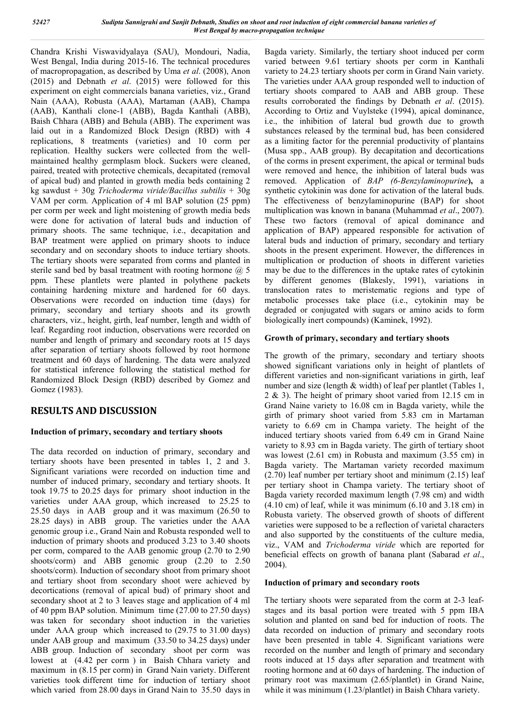Chandra Krishi Viswavidyalaya (SAU), Mondouri, Nadia, West Bengal, India during 2015-16. The technical procedures of macropropagation, as described by Uma *et al*. (2008), Anon (2015) and Debnath *et al*. (2015) were followed for this experiment on eight commercials banana varieties, viz., Grand Nain (AAA), Robusta (AAA), Martaman (AAB), Champa (AAB), Kanthali clone-1 (ABB), Bagda Kanthali (ABB), Baish Chhara (ABB) and Behula (ABB). The experiment was laid out in a Randomized Block Design (RBD) with 4 replications, 8 treatments (varieties) and 10 corm per replication. Healthy suckers were collected from the wellmaintained healthy germplasm block. Suckers were cleaned, paired, treated with protective chemicals, decapitated (removal of apical bud) and planted in growth media beds containing 2 kg sawdust + 30g *Trichoderma viride/Bacillus subtilis* + 30g VAM per corm. Application of 4 ml BAP solution (25 ppm) per corm per week and light moistening of growth media beds were done for activation of lateral buds and induction of primary shoots. The same technique, i.e., decapitation and BAP treatment were applied on primary shoots to induce secondary and on secondary shoots to induce tertiary shoots. The tertiary shoots were separated from corms and planted in sterile sand bed by basal treatment with rooting hormone  $(a)$ , 5 ppm. These plantlets were planted in polythene packets containing hardening mixture and hardened for 60 days. Observations were recorded on induction time (days) for primary, secondary and tertiary shoots and its growth characters, viz., height, girth, leaf number, length and width of leaf. Regarding root induction, observations were recorded on number and length of primary and secondary roots at 15 days after separation of tertiary shoots followed by root hormone treatment and 60 days of hardening. The data were analyzed for statistical inference following the statistical method for Randomized Block Design (RBD) described by Gomez and Gomez (1983).

# **RESULTS AND DISCUSSION**

## **Induction of primary, secondary and tertiary shoots**

The data recorded on induction of primary, secondary and tertiary shoots have been presented in tables 1, 2 and 3. Significant variations were recorded on induction time and number of induced primary, secondary and tertiary shoots. It took 19.75 to 20.25 days for primary shoot induction in the varieties under AAA group, which increased to 25.25 to 25.50 days in AAB group and it was maximum (26.50 to 28.25 days) in ABB group. The varieties under the AAA genomic group i.e., Grand Nain and Robusta responded well to induction of primary shoots and produced 3.23 to 3.40 shoots per corm, compared to the AAB genomic group (2.70 to 2.90 shoots/corm) and ABB genomic group (2.20 to 2.50 shoots/corm). Induction of secondary shoot from primary shoot and tertiary shoot from secondary shoot were achieved by decortications (removal of apical bud) of primary shoot and secondary shoot at 2 to 3 leaves stage and application of 4 ml of 40 ppm BAP solution. Minimum time (27.00 to 27.50 days) was taken for secondary shoot induction in the varieties under AAA group which increased to (29.75 to 31.00 days) under AAB group and maximum (33.50 to 34.25 days) under ABB group. Induction of secondary shoot per corm was lowest at (4.42 per corm ) in Baish Chhara variety and maximum in (8.15 per corm) in Grand Nain variety. Different varieties took different time for induction of tertiary shoot which varied from 28.00 days in Grand Nain to 35.50 days in

Bagda variety. Similarly, the tertiary shoot induced per corm varied between 9.61 tertiary shoots per corm in Kanthali variety to 24.23 tertiary shoots per corm in Grand Nain variety. The varieties under AAA group responded well to induction of tertiary shoots compared to AAB and ABB group. These results corroborated the findings by Debnath *et al*. (2015). According to Ortiz and Vuylsteke (1994), apical dominance, i.e., the inhibition of lateral bud growth due to growth substances released by the terminal bud, has been considered as a limiting factor for the perennial productivity of plantains (Musa spp., AAB group). By decapitation and decortications of the corms in present experiment, the apical or terminal buds were removed and hence, the inhibition of lateral buds was removed. Application of *BAP (6-Benzylaminopurine***),** a synthetic cytokinin was done for activation of the lateral buds. The effectiveness of benzylaminopurine (BAP) for shoot multiplication was known in banana (Muhammad *et al*., 2007). These two factors (removal of apical dominance and application of BAP) appeared responsible for activation of lateral buds and induction of primary, secondary and tertiary shoots in the present experiment. However, the differences in multiplication or production of shoots in different varieties may be due to the differences in the uptake rates of cytokinin by different genomes (Blakesly, 1991), variations in translocation rates to meristematic regions and type of metabolic processes take place (i.e., cytokinin may be degraded or conjugated with sugars or amino acids to form biologically inert compounds) (Kaminek, 1992).

#### **Growth of primary, secondary and tertiary shoots**

The growth of the primary, secondary and tertiary shoots showed significant variations only in height of plantlets of different varieties and non-significant variations in girth, leaf number and size (length & width) of leaf per plantlet (Tables 1, 2 & 3). The height of primary shoot varied from 12.15 cm in Grand Naine variety to 16.08 cm in Bagda variety, while the girth of primary shoot varied from 5.83 cm in Martaman variety to 6.69 cm in Champa variety. The height of the induced tertiary shoots varied from 6.49 cm in Grand Naine variety to 8.93 cm in Bagda variety. The girth of tertiary shoot was lowest (2.61 cm) in Robusta and maximum (3.55 cm) in Bagda variety. The Martaman variety recorded maximum (2.70) leaf number per tertiary shoot and minimum (2.15) leaf per tertiary shoot in Champa variety. The tertiary shoot of Bagda variety recorded maximum length (7.98 cm) and width (4.10 cm) of leaf, while it was minimum (6.10 and 3.18 cm) in Robusta variety. The observed growth of shoots of different varieties were supposed to be a reflection of varietal characters and also supported by the constituents of the culture media, viz., VAM and *Trichoderma viride* which are reported for beneficial effects on growth of banana plant (Sabarad *et al*., 2004).

#### **Induction of primary and secondary roots**

The tertiary shoots were separated from the corm at 2-3 leafstages and its basal portion were treated with 5 ppm IBA solution and planted on sand bed for induction of roots. The data recorded on induction of primary and secondary roots have been presented in table 4. Significant variations were recorded on the number and length of primary and secondary roots induced at 15 days after separation and treatment with rooting hormone and at 60 days of hardening. The induction of primary root was maximum (2.65/plantlet) in Grand Naine, while it was minimum (1.23/plantlet) in Baish Chhara variety.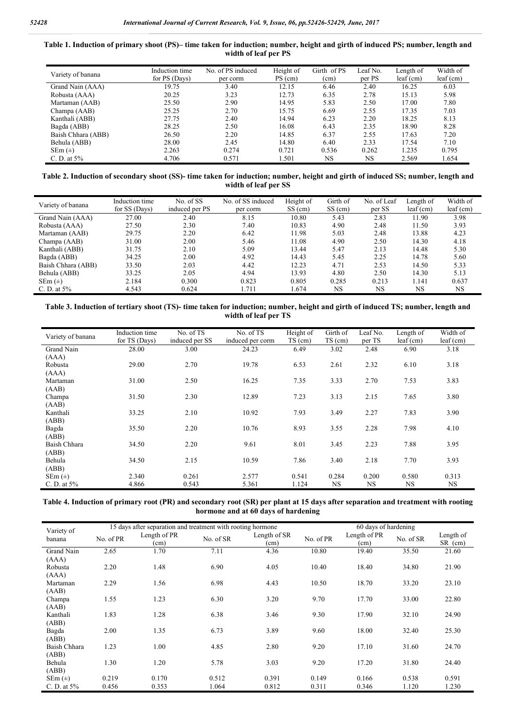| Table 1. Induction of primary shoot (PS)– time taken for induction; number, height and girth of induced PS; number, length and |                      |  |  |
|--------------------------------------------------------------------------------------------------------------------------------|----------------------|--|--|
|                                                                                                                                | width of leaf per PS |  |  |

| Variety of banana  | Induction time<br>for PS (Days) | No. of PS induced<br>per corm | Height of<br>PS (cm) | Girth of PS<br>(cm) | Leaf No.<br>per PS | Length of<br>$leaf$ (cm) | Width of<br>$leaf$ (cm) |
|--------------------|---------------------------------|-------------------------------|----------------------|---------------------|--------------------|--------------------------|-------------------------|
| Grand Nain (AAA)   | 19.75                           | 3.40                          | 12.15                | 6.46                | 2.40               | 16.25                    | 6.03                    |
| Robusta (AAA)      | 20.25                           | 3.23                          | 12.73                | 6.35                | 2.78               | 15.13                    | 5.98                    |
| Martaman (AAB)     | 25.50                           | 2.90                          | 14.95                | 5.83                | 2.50               | 17.00                    | 7.80                    |
| Champa (AAB)       | 25.25                           | 2.70                          | 15.75                | 6.69                | 2.55               | 17.35                    | 7.03                    |
| Kanthali (ABB)     | 27.75                           | 2.40                          | 14.94                | 6.23                | 2.20               | 18.25                    | 8.13                    |
| Bagda (ABB)        | 28.25                           | 2.50                          | 16.08                | 6.43                | 2.35               | 18.90                    | 8.28                    |
| Baish Chhara (ABB) | 26.50                           | 2.20                          | 14.85                | 6.37                | 2.55               | 17.63                    | 7.20                    |
| Behula (ABB)       | 28.00                           | 2.45                          | 14.80                | 6.40                | 2.33               | 17.54                    | 7.10                    |
| $SEm (\pm)$        | 2.263                           | 0.274                         | 0.721                | 0.536               | 0.262              | 1.235                    | 0.795                   |
| C. D. at $5%$      | 4.706                           | 0.571                         | 1.501                | <b>NS</b>           | NS                 | 2.569                    | 1.654                   |

#### **Table 2. Induction of secondary shoot (SS)- time taken for induction; number, height and girth of induced SS; number, length and width of leaf per SS**

| Variety of banana  | Induction time<br>for SS (Days) | No. of SS<br>induced per PS | No. of SS induced<br>per corm | Height of<br>$SS$ (cm) | Girth of<br>SS (cm) | No. of Leaf<br>per SS | Length of<br>$leaf$ (cm) | Width of<br>$leaf$ (cm) |
|--------------------|---------------------------------|-----------------------------|-------------------------------|------------------------|---------------------|-----------------------|--------------------------|-------------------------|
| Grand Nain (AAA)   | 27.00                           | 2.40                        | 8.15                          | 10.80                  | 5.43                | 2.83                  | 11.90                    | 3.98                    |
| Robusta (AAA)      | 27.50                           | 2.30                        | 7.40                          | 10.83                  | 4.90                | 2.48                  | 11.50                    | 3.93                    |
| Martaman (AAB)     | 29.75                           | 2.20                        | 6.42                          | 11.98                  | 5.03                | 2.48                  | 13.88                    | 4.23                    |
| Champa (AAB)       | 31.00                           | 2.00                        | 5.46                          | 11.08                  | 4.90                | 2.50                  | 14.30                    | 4.18                    |
| Kanthali (ABB)     | 31.75                           | 2.10                        | 5.09                          | 13.44                  | 5.47                | 2.13                  | 14.48                    | 5.30                    |
| Bagda (ABB)        | 34.25                           | 2.00                        | 4.92                          | 14.43                  | 5.45                | 2.25                  | 14.78                    | 5.60                    |
| Baish Chhara (ABB) | 33.50                           | 2.03                        | 4.42                          | 12.23                  | 4.71                | 2.53                  | 14.50                    | 5.33                    |
| Behula (ABB)       | 33.25                           | 2.05                        | 4.94                          | 13.93                  | 4.80                | 2.50                  | 14.30                    | 5.13                    |
| $SEm (\pm)$        | 2.184                           | 0.300                       | 0.823                         | 0.805                  | 0.285               | 0.213                 | 1.141                    | 0.637                   |
| C. D. at $5\%$     | 4.543                           | 0.624                       | 1.711                         | 1.674                  | NS                  | <b>NS</b>             | NS                       | <b>NS</b>               |

**Table 3. Induction of tertiary shoot (TS)- time taken for induction; number, height and girth of induced TS; number, length and width of leaf per TS**

| Variety of banana | Induction time<br>for TS (Days) | No. of TS<br>induced per SS | No. of TS<br>induced per corm | Height of<br>$TS$ (cm) | Girth of<br>$TS$ (cm) | Leaf No.<br>per TS | Length of<br>$leaf$ (cm) | Width of<br>$leaf$ (cm) |
|-------------------|---------------------------------|-----------------------------|-------------------------------|------------------------|-----------------------|--------------------|--------------------------|-------------------------|
| Grand Nain        | 28.00                           | 3.00                        | 24.23                         | 6.49                   | 3.02                  | 2.48               | 6.90                     | 3.18                    |
| (AAA)             |                                 |                             |                               |                        |                       |                    |                          |                         |
| Robusta           | 29.00                           | 2.70                        | 19.78                         | 6.53                   | 2.61                  | 2.32               | 6.10                     | 3.18                    |
| (AAA)             |                                 |                             |                               |                        |                       |                    |                          |                         |
| Martaman          | 31.00                           | 2.50                        | 16.25                         | 7.35                   | 3.33                  | 2.70               | 7.53                     | 3.83                    |
| (AAB)             |                                 |                             |                               |                        |                       |                    |                          |                         |
| Champa            | 31.50                           | 2.30                        | 12.89                         | 7.23                   | 3.13                  | 2.15               | 7.65                     | 3.80                    |
| (AAB)             |                                 |                             |                               |                        |                       |                    |                          |                         |
| Kanthali          | 33.25                           | 2.10                        | 10.92                         | 7.93                   | 3.49                  | 2.27               | 7.83                     | 3.90                    |
| (ABB)             |                                 |                             |                               |                        |                       |                    |                          |                         |
| Bagda             | 35.50                           | 2.20                        | 10.76                         | 8.93                   | 3.55                  | 2.28               | 7.98                     | 4.10                    |
| (ABB)             |                                 |                             |                               |                        |                       |                    |                          |                         |
| Baish Chhara      | 34.50                           | 2.20                        | 9.61                          | 8.01                   | 3.45                  | 2.23               | 7.88                     | 3.95                    |
| (ABB)             |                                 |                             |                               |                        |                       |                    |                          |                         |
| Behula            | 34.50                           | 2.15                        | 10.59                         | 7.86                   | 3.40                  | 2.18               | 7.70                     | 3.93                    |
| (ABB)             |                                 |                             |                               |                        |                       |                    |                          |                         |
| $SEm (\pm)$       | 2.340                           | 0.261                       | 2.577                         | 0.541                  | 0.284                 | 0.200              | 0.580                    | 0.313                   |
| C. D. at $5\%$    | 4.866                           | 0.543                       | 5.361                         | 1.124                  | <b>NS</b>             | NS.                | <b>NS</b>                | <b>NS</b>               |

#### **Table 4. Induction of primary root (PR) and secondary root (SR) per plant at 15 days after separation and treatment with rooting hormone and at 60 days of hardening**

|                      |           | 15 days after separation and treatment with rooting hormone | 60 days of hardening |                      |           |                      |           |                      |
|----------------------|-----------|-------------------------------------------------------------|----------------------|----------------------|-----------|----------------------|-----------|----------------------|
| Variety of<br>banana | No. of PR | Length of PR<br>(cm)                                        | No. of SR            | Length of SR<br>(cm) | No. of PR | Length of PR<br>(cm) | No. of SR | Length of<br>SR (cm) |
| Grand Nain           | 2.65      | 1.70                                                        | 7.11                 | 4.36                 | 10.80     | 19.40                | 35.50     | 21.60                |
| (AAA)                |           |                                                             |                      |                      |           |                      |           |                      |
| Robusta              | 2.20      | 1.48                                                        | 6.90                 | 4.05                 | 10.40     | 18.40                | 34.80     | 21.90                |
| (AAA)                |           |                                                             |                      |                      |           |                      |           |                      |
| Martaman             | 2.29      | 1.56                                                        | 6.98                 | 4.43                 | 10.50     | 18.70                | 33.20     | 23.10                |
| (AAB)                |           |                                                             |                      |                      |           |                      |           |                      |
| Champa               | 1.55      | 1.23                                                        | 6.30                 | 3.20                 | 9.70      | 17.70                | 33.00     | 22.80                |
| (AAB)                |           |                                                             |                      |                      |           |                      |           |                      |
| Kanthali             | 1.83      | 1.28                                                        | 6.38                 | 3.46                 | 9.30      | 17.90                | 32.10     | 24.90                |
| (ABB)                |           |                                                             |                      |                      |           |                      |           |                      |
| Bagda                | 2.00      | 1.35                                                        | 6.73                 | 3.89                 | 9.60      | 18.00                | 32.40     | 25.30                |
| (ABB)                |           |                                                             |                      |                      |           |                      |           |                      |
| Baish Chhara         | 1.23      | 1.00                                                        | 4.85                 | 2.80                 | 9.20      | 17.10                | 31.60     | 24.70                |
| (ABB)                |           |                                                             |                      |                      |           |                      |           |                      |
| Behula               | 1.30      | 1.20                                                        | 5.78                 | 3.03                 | 9.20      | 17.20                | 31.80     | 24.40                |
| (ABB)                |           |                                                             |                      |                      |           |                      |           |                      |
| $SEm (\pm)$          | 0.219     | 0.170                                                       | 0.512                | 0.391                | 0.149     | 0.166                | 0.538     | 0.591                |
| C. D. at $5%$        | 0.456     | 0.353                                                       | 1.064                | 0.812                | 0.311     | 0.346                | 1.120     | 1.230                |